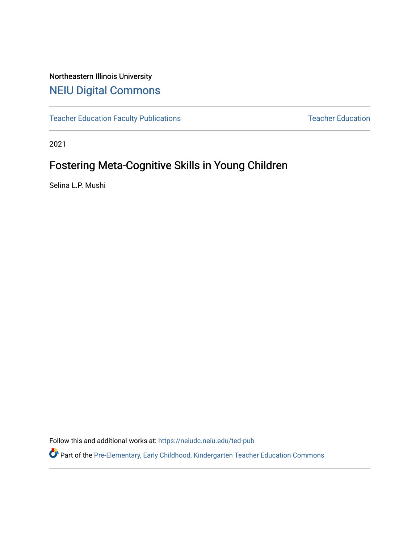## Northeastern Illinois University [NEIU Digital Commons](https://neiudc.neiu.edu/)

[Teacher Education Faculty Publications](https://neiudc.neiu.edu/ted-pub) [Teacher Education](https://neiudc.neiu.edu/ted) Teacher Education

2021

# Fostering Meta-Cognitive Skills in Young Children

Selina L.P. Mushi

Follow this and additional works at: [https://neiudc.neiu.edu/ted-pub](https://neiudc.neiu.edu/ted-pub?utm_source=neiudc.neiu.edu%2Fted-pub%2F7&utm_medium=PDF&utm_campaign=PDFCoverPages)

Part of the [Pre-Elementary, Early Childhood, Kindergarten Teacher Education Commons](https://network.bepress.com/hgg/discipline/808?utm_source=neiudc.neiu.edu%2Fted-pub%2F7&utm_medium=PDF&utm_campaign=PDFCoverPages)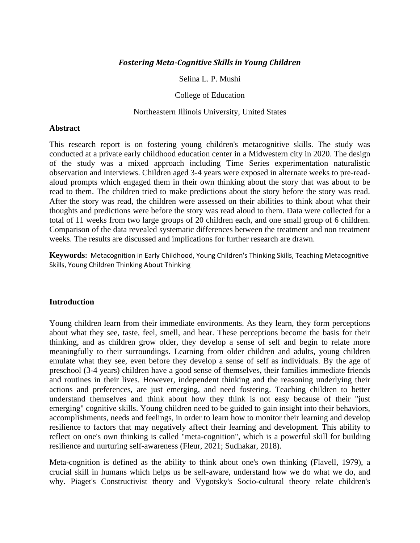#### *Fostering Meta-Cognitive Skills in Young Children*

Selina L. P. Mushi

College of Education

#### Northeastern Illinois University, United States

#### **Abstract**

This research report is on fostering young children's metacognitive skills. The study was conducted at a private early childhood education center in a Midwestern city in 2020. The design of the study was a mixed approach including Time Series experimentation naturalistic observation and interviews. Children aged 3-4 years were exposed in alternate weeks to pre-readaloud prompts which engaged them in their own thinking about the story that was about to be read to them. The children tried to make predictions about the story before the story was read. After the story was read, the children were assessed on their abilities to think about what their thoughts and predictions were before the story was read aloud to them. Data were collected for a total of 11 weeks from two large groups of 20 children each, and one small group of 6 children. Comparison of the data revealed systematic differences between the treatment and non treatment weeks. The results are discussed and implications for further research are drawn.

**Keywords:** Metacognition in Early Childhood, Young Children's Thinking Skills, Teaching Metacognitive Skills, Young Children Thinking About Thinking

#### **Introduction**

Young children learn from their immediate environments. As they learn, they form perceptions about what they see, taste, feel, smell, and hear. These perceptions become the basis for their thinking, and as children grow older, they develop a sense of self and begin to relate more meaningfully to their surroundings. Learning from older children and adults, young children emulate what they see, even before they develop a sense of self as individuals. By the age of preschool (3-4 years) children have a good sense of themselves, their families immediate friends and routines in their lives. However, independent thinking and the reasoning underlying their actions and preferences, are just emerging, and need fostering. Teaching children to better understand themselves and think about how they think is not easy because of their "just emerging" cognitive skills. Young children need to be guided to gain insight into their behaviors, accomplishments, needs and feelings, in order to learn how to monitor their learning and develop resilience to factors that may negatively affect their learning and development. This ability to reflect on one's own thinking is called "meta-cognition", which is a powerful skill for building resilience and nurturing self-awareness (Fleur, 2021; Sudhakar, 2018).

Meta-cognition is defined as the ability to think about one's own thinking (Flavell, 1979), a crucial skill in humans which helps us be self-aware, understand how we do what we do, and why. Piaget's Constructivist theory and Vygotsky's Socio-cultural theory relate children's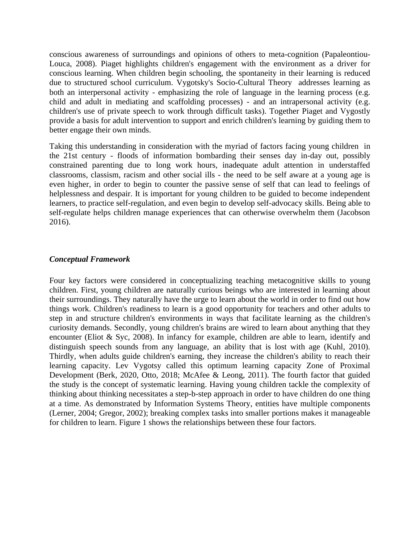conscious awareness of surroundings and opinions of others to meta-cognition (Papaleontiou-Louca, 2008). Piaget highlights children's engagement with the environment as a driver for conscious learning. When children begin schooling, the spontaneity in their learning is reduced due to structured school curriculum. Vygotsky's Socio-Cultural Theory addresses learning as both an interpersonal activity - emphasizing the role of language in the learning process (e.g. child and adult in mediating and scaffolding processes) - and an intrapersonal activity (e.g. children's use of private speech to work through difficult tasks). Together Piaget and Vygostly provide a basis for adult intervention to support and enrich children's learning by guiding them to better engage their own minds.

Taking this understanding in consideration with the myriad of factors facing young children in the 21st century - floods of information bombarding their senses day in-day out, possibly constrained parenting due to long work hours, inadequate adult attention in understaffed classrooms, classism, racism and other social ills - the need to be self aware at a young age is even higher, in order to begin to counter the passive sense of self that can lead to feelings of helplessness and despair. It is important for young children to be guided to become independent learners, to practice self-regulation, and even begin to develop self-advocacy skills. Being able to self-regulate helps children manage experiences that can otherwise overwhelm them (Jacobson 2016).

#### *Conceptual Framework*

Four key factors were considered in conceptualizing teaching metacognitive skills to young children. First, young children are naturally curious beings who are interested in learning about their surroundings. They naturally have the urge to learn about the world in order to find out how things work. Children's readiness to learn is a good opportunity for teachers and other adults to step in and structure children's environments in ways that facilitate learning as the children's curiosity demands. Secondly, young children's brains are wired to learn about anything that they encounter (Eliot & Syc, 2008). In infancy for example, children are able to learn, identify and distinguish speech sounds from any language, an ability that is lost with age (Kuhl, 2010). Thirdly, when adults guide children's earning, they increase the children's ability to reach their learning capacity. Lev Vygotsy called this optimum learning capacity Zone of Proximal Development (Berk, 2020, Otto, 2018; McAfee & Leong, 2011). The fourth factor that guided the study is the concept of systematic learning. Having young children tackle the complexity of thinking about thinking necessitates a step-b-step approach in order to have children do one thing at a time. As demonstrated by Information Systems Theory, entities have multiple components (Lerner, 2004; Gregor, 2002); breaking complex tasks into smaller portions makes it manageable for children to learn. Figure 1 shows the relationships between these four factors.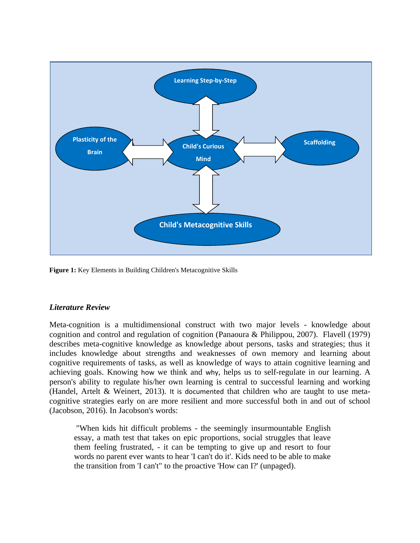

**Figure 1:** Key Elements in Building Children's Metacognitive Skills

## *Literature Review*

Meta-cognition is a multidimensional construct with two major levels - knowledge about cognition and control and regulation of cognition (Panaoura & Philippou, 2007). Flavell (1979) describes meta-cognitive knowledge as knowledge about persons, tasks and strategies; thus it includes knowledge about strengths and weaknesses of own memory and learning about cognitive requirements of tasks, as well as knowledge of ways to attain cognitive learning and achieving goals. Knowing how we think and why, helps us to self-regulate in our learning. A person's ability to regulate his/her own learning is central to successful learning and working (Handel, Artelt & Weinert, 2013). It is documented that children who are taught to use metacognitive strategies early on are more resilient and more successful both in and out of school (Jacobson, 2016). In Jacobson's words:

"When kids hit difficult problems - the seemingly insurmountable English essay, a math test that takes on epic proportions, social struggles that leave them feeling frustrated, - it can be tempting to give up and resort to four words no parent ever wants to hear 'I can't do it'. Kids need to be able to make the transition from 'I can't" to the proactive 'How can I?' (unpaged).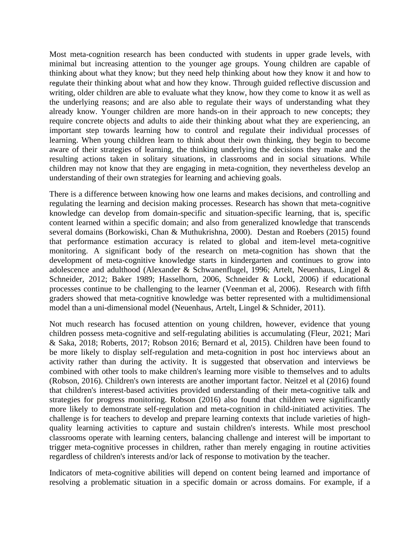Most meta-cognition research has been conducted with students in upper grade levels, with minimal but increasing attention to the younger age groups. Young children are capable of thinking about what they know; but they need help thinking about how they know it and how to regulate their thinking about what and how they know. Through guided reflective discussion and writing, older children are able to evaluate what they know, how they come to know it as well as the underlying reasons; and are also able to regulate their ways of understanding what they already know. Younger children are more hands-on in their approach to new concepts; they require concrete objects and adults to aide their thinking about what they are experiencing, an important step towards learning how to control and regulate their individual processes of learning. When young children learn to think about their own thinking, they begin to become aware of their strategies of learning, the thinking underlying the decisions they make and the resulting actions taken in solitary situations, in classrooms and in social situations. While children may not know that they are engaging in meta-cognition, they nevertheless develop an understanding of their own strategies for learning and achieving goals.

There is a difference between knowing how one learns and makes decisions, and controlling and regulating the learning and decision making processes. Research has shown that meta-cognitive knowledge can develop from domain-specific and situation-specific learning, that is, specific content learned within a specific domain; and also from generalized knowledge that transcends several domains (Borkowiski, Chan & Muthukrishna, 2000). Destan and Roebers (2015) found that performance estimation accuracy is related to global and item-level meta-cognitive monitoring. A significant body of the research on meta-cognition has shown that the development of meta-cognitive knowledge starts in kindergarten and continues to grow into adolescence and adulthood (Alexander & Schwanenflugel, 1996; Artelt, Neuenhaus, Lingel & Schneider, 2012; Baker 1989; Hasselhorn, 2006, Schneider & Lockl, 2006) if educational processes continue to be challenging to the learner (Veenman et al, 2006). Research with fifth graders showed that meta-cognitive knowledge was better represented with a multidimensional model than a uni-dimensional model (Neuenhaus, Artelt, Lingel & Schnider, 2011).

Not much research has focused attention on young children, however, evidence that young children possess meta-cognitive and self-regulating abilities is accumulating (Fleur, 2021; Mari & Saka, 2018; Roberts, 2017; Robson 2016; Bernard et al, 2015). Children have been found to be more likely to display self-regulation and meta-cognition in post hoc interviews about an activity rather than during the activity. It is suggested that observation and interviews be combined with other tools to make children's learning more visible to themselves and to adults (Robson, 2016). Children's own interests are another important factor. Neitzel et al (2016) found that children's interest-based activities provided understanding of their meta-cognitive talk and strategies for progress monitoring. Robson (2016) also found that children were significantly more likely to demonstrate self-regulation and meta-cognition in child-initiated activities. The challenge is for teachers to develop and prepare learning contexts that include varieties of highquality learning activities to capture and sustain children's interests. While most preschool classrooms operate with learning centers, balancing challenge and interest will be important to trigger meta-cognitive processes in children, rather than merely engaging in routine activities regardless of children's interests and/or lack of response to motivation by the teacher.

Indicators of meta-cognitive abilities will depend on content being learned and importance of resolving a problematic situation in a specific domain or across domains. For example, if a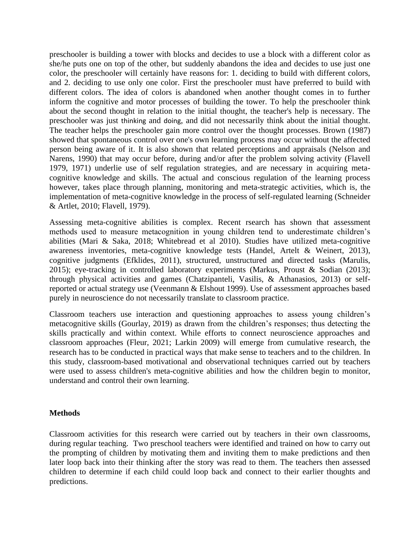preschooler is building a tower with blocks and decides to use a block with a different color as she/he puts one on top of the other, but suddenly abandons the idea and decides to use just one color, the preschooler will certainly have reasons for: 1. deciding to build with different colors, and 2. deciding to use only one color. First the preschooler must have preferred to build with different colors. The idea of colors is abandoned when another thought comes in to further inform the cognitive and motor processes of building the tower. To help the preschooler think about the second thought in relation to the initial thought, the teacher's help is necessary. The preschooler was just thinking and doing, and did not necessarily think about the initial thought. The teacher helps the preschooler gain more control over the thought processes. Brown (1987) showed that spontaneous control over one's own learning process may occur without the affected person being aware of it. It is also shown that related perceptions and appraisals (Nelson and Narens, 1990) that may occur before, during and/or after the problem solving activity (Flavell 1979, 1971) underlie use of self regulation strategies, and are necessary in acquiring metacognitive knowledge and skills. The actual and conscious regulation of the learning process however, takes place through planning, monitoring and meta-strategic activities, which is, the implementation of meta-cognitive knowledge in the process of self-regulated learning (Schneider & Artlet, 2010; Flavell, 1979).

Assessing meta-cognitive abilities is complex. Recent rsearch has shown that assessment methods used to measure metacognition in young children tend to underestimate children's abilities (Mari & Saka, 2018; Whitebread et al 2010). Studies have utilized meta-cognitive awareness inventories, meta-cognitive knowledge tests (Handel, Artelt & Weinert, 2013), cognitive judgments (Efklides, 2011), structured, unstructured and directed tasks (Marulis, 2015); eye-tracking in controlled laboratory experiments (Markus, Proust & Sodian (2013); through physical activities and games (Chatzipanteli, Vasilis, & Athanasios, 2013) or selfreported or actual strategy use (Veenmann & Elshout 1999). Use of assessment approaches based purely in neuroscience do not necessarily translate to classroom practice.

Classroom teachers use interaction and questioning approaches to assess young children's metacognitive skills (Gourlay, 2019) as drawn from the children's responses; thus detecting the skills practically and within context. While efforts to connect neuroscience approaches and classroom approaches (Fleur, 2021; Larkin 2009) will emerge from cumulative research, the research has to be conducted in practical ways that make sense to teachers and to the children. In this study, classroom-based motivational and observational techniques carried out by teachers were used to assess children's meta-cognitive abilities and how the children begin to monitor, understand and control their own learning.

#### **Methods**

Classroom activities for this research were carried out by teachers in their own classrooms, during regular teaching. Two preschool teachers were identified and trained on how to carry out the prompting of children by motivating them and inviting them to make predictions and then later loop back into their thinking after the story was read to them. The teachers then assessed children to determine if each child could loop back and connect to their earlier thoughts and predictions.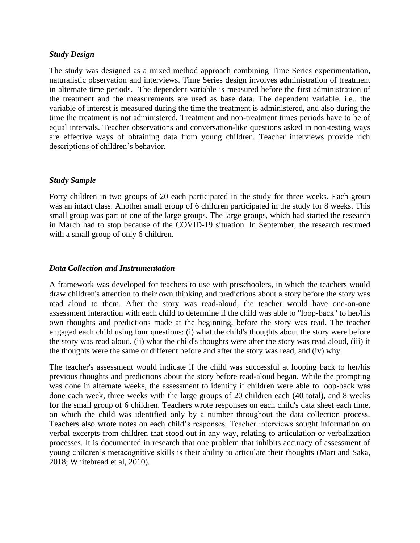## *Study Design*

The study was designed as a mixed method approach combining Time Series experimentation, naturalistic observation and interviews. Time Series design involves administration of treatment in alternate time periods. The dependent variable is measured before the first administration of the treatment and the measurements are used as base data. The dependent variable, i.e., the variable of interest is measured during the time the treatment is administered, and also during the time the treatment is not administered. Treatment and non-treatment times periods have to be of equal intervals. Teacher observations and conversation-like questions asked in non-testing ways are effective ways of obtaining data from young children. Teacher interviews provide rich descriptions of children's behavior.

## *Study Sample*

Forty children in two groups of 20 each participated in the study for three weeks. Each group was an intact class. Another small group of 6 children participated in the study for 8 weeks. This small group was part of one of the large groups. The large groups, which had started the research in March had to stop because of the COVID-19 situation. In September, the research resumed with a small group of only 6 children.

#### *Data Collection and Instrumentation*

A framework was developed for teachers to use with preschoolers, in which the teachers would draw children's attention to their own thinking and predictions about a story before the story was read aloud to them. After the story was read-aloud, the teacher would have one-on-one assessment interaction with each child to determine if the child was able to "loop-back" to her/his own thoughts and predictions made at the beginning, before the story was read. The teacher engaged each child using four questions: (i) what the child's thoughts about the story were before the story was read aloud, (ii) what the child's thoughts were after the story was read aloud, (iii) if the thoughts were the same or different before and after the story was read, and (iv) why.

The teacher's assessment would indicate if the child was successful at looping back to her/his previous thoughts and predictions about the story before read-aloud began. While the prompting was done in alternate weeks, the assessment to identify if children were able to loop-back was done each week, three weeks with the large groups of 20 children each (40 total), and 8 weeks for the small group of 6 children. Teachers wrote responses on each child's data sheet each time, on which the child was identified only by a number throughout the data collection process. Teachers also wrote notes on each child's responses. Teacher interviews sought information on verbal excerpts from children that stood out in any way, relating to articulation or verbalization processes. It is documented in research that one problem that inhibits accuracy of assessment of young children's metacognitive skills is their ability to articulate their thoughts (Mari and Saka, 2018; Whitebread et al, 2010).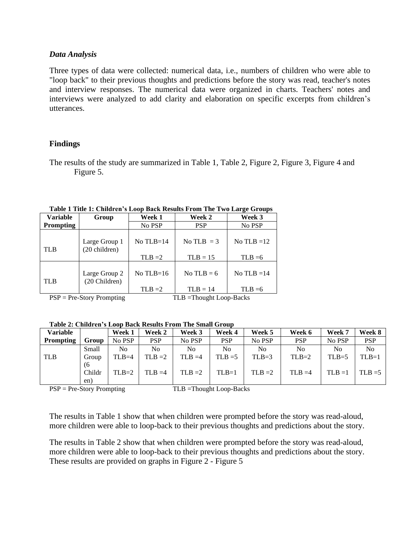#### *Data Analysis*

Three types of data were collected: numerical data, i.e., numbers of children who were able to "loop back" to their previous thoughts and predictions before the story was read, teacher's notes and interview responses. The numerical data were organized in charts. Teachers' notes and interviews were analyzed to add clarity and elaboration on specific excerpts from children's utterances.

## **Findings**

The results of the study are summarized in Table 1, Table 2, Figure 2, Figure 3, Figure 4 and Figure 5.

| THEN THE THE THEORY OF SHOP DRUG INSTRUSS THE THE TWO DRILL OF OUR PROPERTY. |                                |                            |                              |              |  |  |  |  |  |
|------------------------------------------------------------------------------|--------------------------------|----------------------------|------------------------------|--------------|--|--|--|--|--|
| <b>Variable</b>                                                              | Group                          | Week 1                     | <b>Week 2</b>                | Week 3       |  |  |  |  |  |
| <b>Prompting</b>                                                             |                                | No PSP                     | <b>PSP</b>                   | No PSP       |  |  |  |  |  |
| <b>TLB</b>                                                                   | Large Group 1<br>(20 children) | $No$ TLB=14                | No TLB $=$ 3                 | No TLB $=12$ |  |  |  |  |  |
|                                                                              |                                | $TLB = 2$                  | $TLB = 15$                   | $TLB = 6$    |  |  |  |  |  |
| <b>TLB</b>                                                                   | Large Group 2<br>(20 Children) | No $TLB=16$                | No TLB $= 6$<br>No TLB $=14$ |              |  |  |  |  |  |
|                                                                              |                                | $TLB = 2$                  | $TLB = 14$                   | $TLB = 6$    |  |  |  |  |  |
| $PSP = Pre-Story Promoting$                                                  |                                | $TLB = Thought Loop-Backs$ |                              |              |  |  |  |  |  |

**Table 1 Title 1: Children's Loop Back Results From The Two Large Groups**

**Table 2: Children's Loop Back Results From The Small Group**

| <b>Variable</b>  |        | Week 1  | Week 2     | Week 3         | Week 4     | Week 5    | Week 6     | Week 7    | Week 8    |
|------------------|--------|---------|------------|----------------|------------|-----------|------------|-----------|-----------|
| <b>Prompting</b> | Group  | No PSP  | <b>PSP</b> | No PSP         | <b>PSP</b> | No PSP    | <b>PSP</b> | No PSP    | PSP       |
|                  | Small  | No      | No         | N <sub>0</sub> | No         | No        | No         | No        | No        |
| <b>TLB</b>       | Group  | $TLB=4$ | $TLB = 2$  | $TLB = 4$      | $TLB = 5$  | $TLB=3$   | $TLB=2$    | $TLB=5$   | $TLB=1$   |
|                  | (6     |         |            |                |            |           |            |           |           |
|                  | Childr | $TLB=2$ | $TLB = 4$  | $TLB = 2$      | $TLB=1$    | $TLB = 2$ | $TLB = 4$  | $TLB = 1$ | $TLB = 5$ |
|                  | en)    |         |            |                |            |           |            |           |           |

PSP = Pre-Story Prompting TLB = Thought Loop-Backs

The results in Table 1 show that when children were prompted before the story was read-aloud, more children were able to loop-back to their previous thoughts and predictions about the story.

The results in Table 2 show that when children were prompted before the story was read-aloud, more children were able to loop-back to their previous thoughts and predictions about the story. These results are provided on graphs in Figure 2 - Figure 5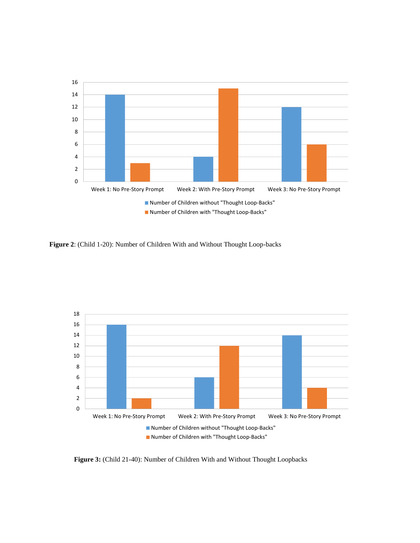

**Figure 2**: (Child 1-20): Number of Children With and Without Thought Loop-backs



**Figure 3:** (Child 21-40): Number of Children With and Without Thought Loopbacks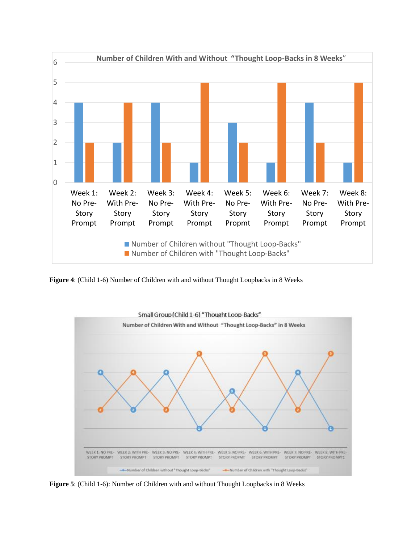

**Figure 4**: (Child 1-6) Number of Children with and without Thought Loopbacks in 8 Weeks



**Figure 5**: (Child 1-6): Number of Children with and without Thought Loopbacks in 8 Weeks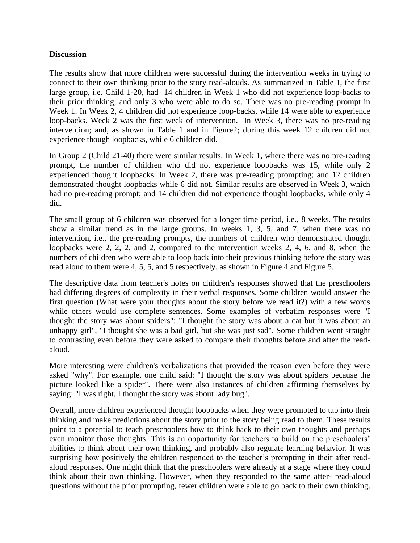## **Discussion**

The results show that more children were successful during the intervention weeks in trying to connect to their own thinking prior to the story read-alouds. As summarized in Table 1, the first large group, i.e. Child 1-20, had 14 children in Week 1 who did not experience loop-backs to their prior thinking, and only 3 who were able to do so. There was no pre-reading prompt in Week 1. In Week 2, 4 children did not experience loop-backs, while 14 were able to experience loop-backs. Week 2 was the first week of intervention. In Week 3, there was no pre-reading intervention; and, as shown in Table 1 and in Figure2; during this week 12 children did not experience though loopbacks, while 6 children did.

In Group 2 (Child 21-40) there were similar results. In Week 1, where there was no pre-reading prompt, the number of children who did not experience loopbacks was 15, while only 2 experienced thought loopbacks. In Week 2, there was pre-reading prompting; and 12 children demonstrated thought loopbacks while 6 did not. Similar results are observed in Week 3, which had no pre-reading prompt; and 14 children did not experience thought loopbacks, while only 4 did.

The small group of 6 children was observed for a longer time period, i.e., 8 weeks. The results show a similar trend as in the large groups. In weeks 1, 3, 5, and 7, when there was no intervention, i.e., the pre-reading prompts, the numbers of children who demonstrated thought loopbacks were 2, 2, 2, and 2, compared to the intervention weeks 2, 4, 6, and 8, when the numbers of children who were able to loop back into their previous thinking before the story was read aloud to them were 4, 5, 5, and 5 respectively, as shown in Figure 4 and Figure 5.

The descriptive data from teacher's notes on children's responses showed that the preschoolers had differing degrees of complexity in their verbal responses. Some children would answer the first question (What were your thoughts about the story before we read it?) with a few words while others would use complete sentences. Some examples of verbatim responses were "I thought the story was about spiders"; "I thought the story was about a cat but it was about an unhappy girl", "I thought she was a bad girl, but she was just sad". Some children went straight to contrasting even before they were asked to compare their thoughts before and after the readaloud.

More interesting were children's verbalizations that provided the reason even before they were asked "why". For example, one child said: "I thought the story was about spiders because the picture looked like a spider". There were also instances of children affirming themselves by saying: "I was right, I thought the story was about lady bug".

Overall, more children experienced thought loopbacks when they were prompted to tap into their thinking and make predictions about the story prior to the story being read to them. These results point to a potential to teach preschoolers how to think back to their own thoughts and perhaps even monitor those thoughts. This is an opportunity for teachers to build on the preschoolers' abilities to think about their own thinking, and probably also regulate learning behavior. It was surprising how positively the children responded to the teacher's prompting in their after readaloud responses. One might think that the preschoolers were already at a stage where they could think about their own thinking. However, when they responded to the same after- read-aloud questions without the prior prompting, fewer children were able to go back to their own thinking.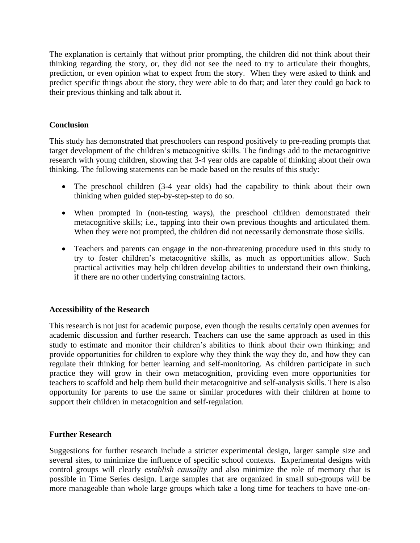The explanation is certainly that without prior prompting, the children did not think about their thinking regarding the story, or, they did not see the need to try to articulate their thoughts, prediction, or even opinion what to expect from the story. When they were asked to think and predict specific things about the story, they were able to do that; and later they could go back to their previous thinking and talk about it.

## **Conclusion**

This study has demonstrated that preschoolers can respond positively to pre-reading prompts that target development of the children's metacognitive skills. The findings add to the metacognitive research with young children, showing that 3-4 year olds are capable of thinking about their own thinking. The following statements can be made based on the results of this study:

- The preschool children (3-4 year olds) had the capability to think about their own thinking when guided step-by-step-step to do so.
- When prompted in (non-testing ways), the preschool children demonstrated their metacognitive skills; i.e., tapping into their own previous thoughts and articulated them. When they were not prompted, the children did not necessarily demonstrate those skills.
- Teachers and parents can engage in the non-threatening procedure used in this study to try to foster children's metacognitive skills, as much as opportunities allow. Such practical activities may help children develop abilities to understand their own thinking, if there are no other underlying constraining factors.

## **Accessibility of the Research**

This research is not just for academic purpose, even though the results certainly open avenues for academic discussion and further research. Teachers can use the same approach as used in this study to estimate and monitor their children's abilities to think about their own thinking; and provide opportunities for children to explore why they think the way they do, and how they can regulate their thinking for better learning and self-monitoring. As children participate in such practice they will grow in their own metacognition, providing even more opportunities for teachers to scaffold and help them build their metacognitive and self-analysis skills. There is also opportunity for parents to use the same or similar procedures with their children at home to support their children in metacognition and self-regulation.

## **Further Research**

Suggestions for further research include a stricter experimental design, larger sample size and several sites, to minimize the influence of specific school contexts. Experimental designs with control groups will clearly *establish causality* and also minimize the role of memory that is possible in Time Series design. Large samples that are organized in small sub-groups will be more manageable than whole large groups which take a long time for teachers to have one-on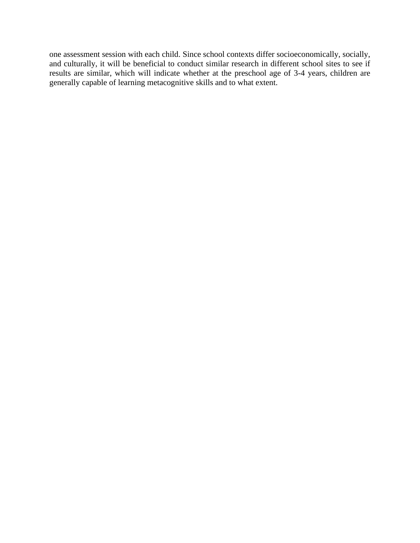one assessment session with each child. Since school contexts differ socioeconomically, socially, and culturally, it will be beneficial to conduct similar research in different school sites to see if results are similar, which will indicate whether at the preschool age of 3-4 years, children are generally capable of learning metacognitive skills and to what extent.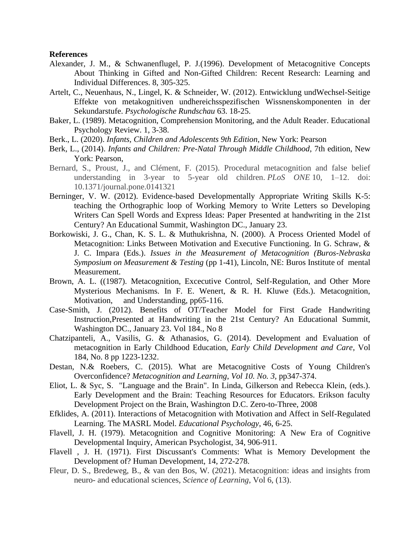#### **References**

- Alexander, J. M., & Schwanenflugel, P. J.(1996). Development of Metacognitive Concepts About Thinking in Gifted and Non-Gifted Children: Recent Research: Learning and Individual Differences. 8, 305-325.
- Artelt, C., Neuenhaus, N., Lingel, K. & Schneider, W. (2012). Entwicklung undWechsel-Seitige Effekte von metakognitiven undhereichsspezifischen Wissnenskomponenten in der Sekundarstufe. *Psychologische Rundschau* 63. 18-25.
- Baker, L. (1989). Metacognition, Comprehension Monitoring, and the Adult Reader. Educational Psychology Review. 1, 3-38.
- Berk., L. (2020). *Infants, Children and Adolescents 9th Edition*, New York: Pearson
- Berk, L., (2014). *Infants and Children: Pre-Natal Through Middle Childhood*, 7th edition, New York: Pearson,
- Bernard, S., Proust, J., and Clément, F. (2015). Procedural metacognition and false belief understanding in 3-year to 5-year old children. *PLoS ONE* 10, 1–12. doi: 10.1371/journal.pone.0141321
- Berninger, V. W. (2012). Evidence-based Developmentally Appropriate Writing Skills K-5: teaching the Orthographic loop of Working Memory to Write Letters so Developing Writers Can Spell Words and Express Ideas: Paper Presented at handwriting in the 21st Century? An Educational Summit, Washington DC., January 23.
- Borkowiski, J. G., Chan, K. S. L. & Muthukrishna, N. (2000). A Process Oriented Model of Metacognition: Links Between Motivation and Executive Functioning. In G. Schraw, & J. C. Impara (Eds.). *Issues in the Measurement of Metacognition (Buros-Nebraska Symposium on Measurement & Testing* (pp 1-41), Lincoln, NE: Buros Institute of mental Measurement.
- Brown, A. L. ((1987). Metacognition, Excecutive Control, Self-Regulation, and Other More Mysterious Mechanisms. In F. E. Wenert, & R. H. Kluwe (Eds.). Metacognition, Motivation, and Understanding, pp65-116.
- Case-Smith, J. (2012). Benefits of OT/Teacher Model for First Grade Handwriting Instruction,Presented at Handwriting in the 21st Century? An Educational Summit, Washington DC., January 23. Vol 184., No 8
- Chatzipanteli, A., Vasilis, G. & Athanasios, G. (2014). Development and Evaluation of metacognition in Early Childhood Education, *Early Child Development and Care*, Vol 184, No. 8 pp 1223-1232.
- Destan, N.& Roebers, C. (2015). What are Metacognitive Costs of Young Children's Overconfidence? *Metacognition and Learning*, *Vol 10. No. 3,* pp347-374.
- Eliot, L. & Syc, S. "Language and the Brain". In Linda, Gilkerson and Rebecca Klein, (eds.). Early Development and the Brain: Teaching Resources for Educators. Erikson faculty Development Project on the Brain, Washington D.C. Zero-to-Three, 2008
- Efklides, A. (2011). Interactions of Metacognition with Motivation and Affect in Self-Regulated Learning. The MASRL Model. *Educational Psychology*, 46, 6-25.
- Flavell, J. H. (1979). Metacognition and Cognitive Monitoring: A New Era of Cognitive Developmental Inquiry, American Psychologist, 34, 906-911.
- Flavell , J. H. (1971). First Discussant's Comments: What is Memory Development the Development of? Human Development, 14, 272-278.
- Fleur, D. S., Bredeweg, B., & van den Bos, W. (2021). Metacognition: ideas and insights from neuro- and educational sciences, *Science of Learning*, Vol 6, (13).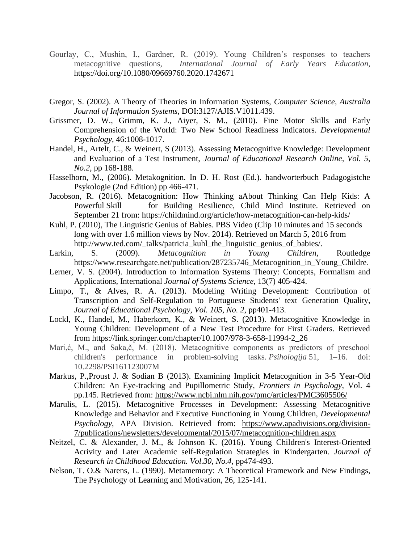- Gourlay, C., Mushin, I., Gardner, R. (2019). Young Children's responses to teachers metacognitive questions, *International Journal of Early Years Education,* <https://doi.org/10.1080/09669760.2020.1742671>
- Gregor, S. (2002). A Theory of Theories in Information Systems, *Computer Science, Australia Journal of Information Systems*, DOI:3127/AJIS.V1011.439.
- [Grissmer, D. W., Grimm, K. J., Aiyer, S. M., \(2010\). F](http://journals.sagepub.com/doi/pdf/10.1177/1468798414522825)ine Motor Skills and Early Comprehension of the World: Two New School Readiness Indicators. *Developmental Psychology*, 46:1008-1017.
- Handel, H., Artelt, C., & Weinert, S (2013). Assessing Metacognitive Knowledge: Development and Evaluation of a Test Instrument, *Journal of Educational Research Online, Vol. 5, No.2*, pp 168-188.
- Hasselhorn, M., (2006). Metakognition. In D. H. Rost (Ed.). handworterbuch Padagogistche Psykologie (2nd Edition) pp 466-471.
- Jacobson, R. (2016). Metacognition: How Thinking aAbout Thinking Can Help Kids: A Powerful Skill for Building Resilience, Child Mind Institute. Retrieved on September 21 from: https://childmind.org/article/how-metacognition-can-help-kids/
- Kuhl, P. (2010), The Linguistic Genius of Babies. PBS Video (Clip 10 minutes and 15 seconds long with over 1.6 million views by Nov. 2014). Retrieved on March 5, 2016 from http://www.ted.com/\_talks/patricia\_kuhl\_the\_linguistic\_genius\_of\_babies/.
- Larkin, S. (2009). *Metacognition in Young Children,* Routledge https://www.researchgate.net/publication/287235746 Metacognition in Young Childre.
- Lerner, V. S. (2004). Introduction to Information Systems Theory: Concepts, Formalism and Applications, International *Journal of Systems Science*, 13(7) 405-424.
- Limpo, T., & Alves, R. A. (2013). Modeling Writing Development: Contribution of Transcription and Self-Regulation to Portuguese Students' text Generation Quality, *Journal of Educational Psychology, Vol. 105, No. 2*, pp401-413.
- Lockl, K., Handel, M., Haberkorn, K., & Weinert, S. (2013). Metacognitive Knowledge in Young Children: Development of a New Test Procedure for First Graders. Retrieved from [https://link.springer.com/chapter/10.1007/978-3-658-11994-2\\_26](https://link.springer.com/chapter/10.1007/978-3-658-11994-2_26)
- Mari,ć, M., and Saka,č, M. (2018). Metacognitive components as predictors of preschool children's performance in problem-solving tasks. *Psihologija* 51, 1–16. doi: 10.2298/PSI161123007M
- Markus, P.,Proust J. & Sodian B (2013). Examining Implicit Metacognition in 3-5 Year-Old Children: An Eye-tracking and Pupillometric Study, *Frontiers in Psychology*, Vol. 4 pp.145. Retrieved from:<https://www.ncbi.nlm.nih.gov/pmc/articles/PMC3605506/>
- Marulis, L. (2015). Metacognitive Processes in Development: Assessing Metacognitive Knowledge and Behavior and Executive Functioning in Young Children, *Developmental Psychology*, APA Division. Retrieved from: [https://www.apadivisions.org/division-](https://www.apadivisions.org/division-7/publications/newsletters/developmental/2015/07/metacognition-children.aspx)[7/publications/newsletters/developmental/2015/07/metacognition-children.aspx](https://www.apadivisions.org/division-7/publications/newsletters/developmental/2015/07/metacognition-children.aspx)
- Neitzel, C. & Alexander, J. M., & Johnson K. (2016). Young Children's Interest-Oriented Acrivity and Later Academic self-Regulation Strategies in Kindergarten. *Journal of Research in Childhood Education. Vol.30, No.4*, pp474-493.
- Nelson, T. O.& Narens, L. (1990). Metamemory: A Theoretical Framework and New Findings, The Psychology of Learning and Motivation, 26, 125-141.